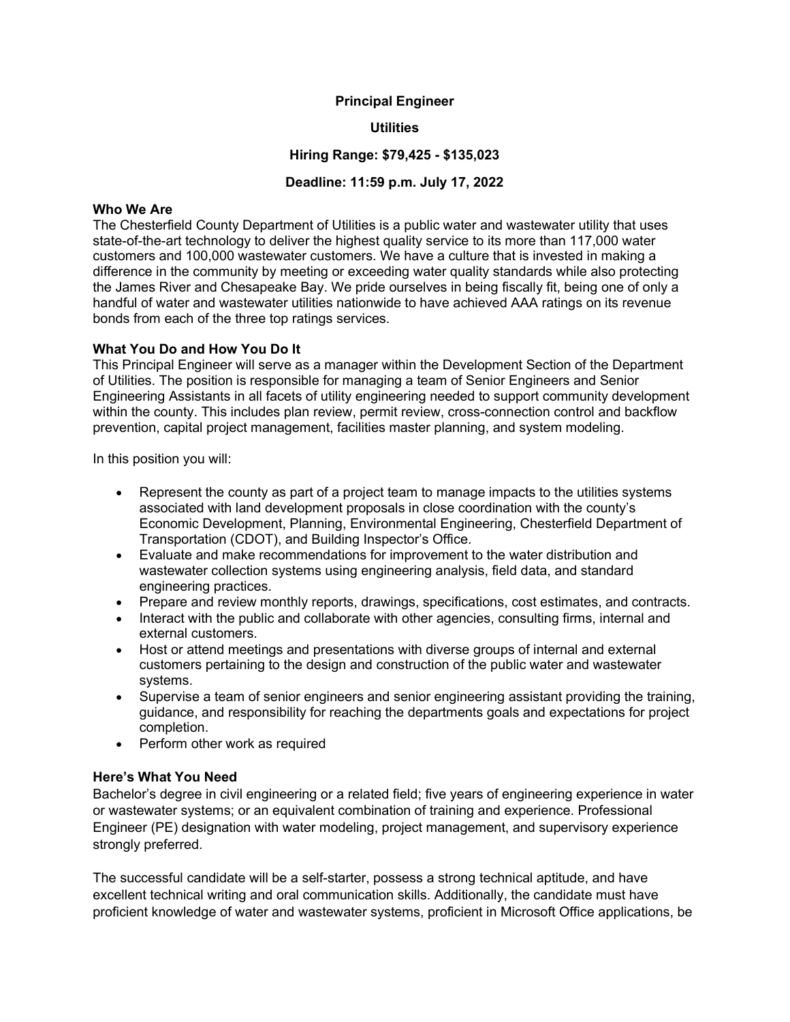#### Principal Engineer

### **Utilities**

## Hiring Range: \$79,425 - \$135,023

### Deadline: 11:59 p.m. July 17, 2022

#### Who We Are

The Chesterfield County Department of Utilities is a public water and wastewater utility that uses state-of-the-art technology to deliver the highest quality service to its more than 117,000 water customers and 100,000 wastewater customers. We have a culture that is invested in making a difference in the community by meeting or exceeding water quality standards while also protecting the James River and Chesapeake Bay. We pride ourselves in being fiscally fit, being one of only a handful of water and wastewater utilities nationwide to have achieved AAA ratings on its revenue bonds from each of the three top ratings services.

#### What You Do and How You Do It

This Principal Engineer will serve as a manager within the Development Section of the Department of Utilities. The position is responsible for managing a team of Senior Engineers and Senior Engineering Assistants in all facets of utility engineering needed to support community development within the county. This includes plan review, permit review, cross-connection control and backflow prevention, capital project management, facilities master planning, and system modeling.

In this position you will:

- Represent the county as part of a project team to manage impacts to the utilities systems associated with land development proposals in close coordination with the county's Economic Development, Planning, Environmental Engineering, Chesterfield Department of Transportation (CDOT), and Building Inspector's Office.
- Evaluate and make recommendations for improvement to the water distribution and wastewater collection systems using engineering analysis, field data, and standard engineering practices.
- Prepare and review monthly reports, drawings, specifications, cost estimates, and contracts.
- Interact with the public and collaborate with other agencies, consulting firms, internal and external customers.
- Host or attend meetings and presentations with diverse groups of internal and external customers pertaining to the design and construction of the public water and wastewater systems.
- Supervise a team of senior engineers and senior engineering assistant providing the training, guidance, and responsibility for reaching the departments goals and expectations for project completion.
- Perform other work as required

#### Here's What You Need

Bachelor's degree in civil engineering or a related field; five years of engineering experience in water or wastewater systems; or an equivalent combination of training and experience. Professional Engineer (PE) designation with water modeling, project management, and supervisory experience strongly preferred.

The successful candidate will be a self-starter, possess a strong technical aptitude, and have excellent technical writing and oral communication skills. Additionally, the candidate must have proficient knowledge of water and wastewater systems, proficient in Microsoft Office applications, be